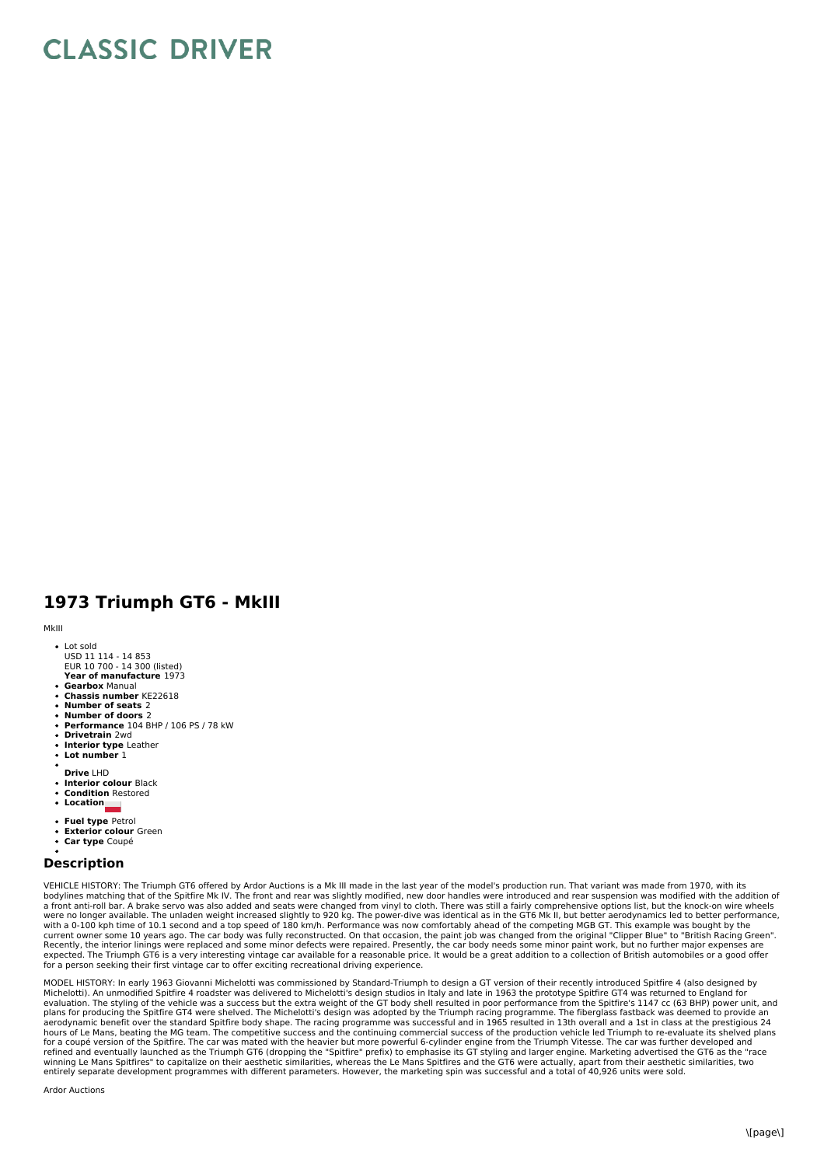## **CLASSIC DRIVER**

## **1973 Triumph GT6 - MkIII**

MkIII

- Lot sold USD 11 114 - 14 853 EUR 10 700 - 14 300 (listed)
- **Year of manufacture** 1973 **Gearbox** Manual
- **Chassis number** KE22618
- **Number of seats** 2
- **Number of doors** 2
- **Performance** 104 BHP / 106 PS / 78 kW **Drivetrain** 2wd
- 
- **Interior type** Leather **Lot number** 1
- 
- **Drive** LHD  $\ddot{\phantom{0}}$ **Interior colour** Black
- **Condition** Restored
- **Location**
- **Fuel type** Petrol
- **Exterior colour** Green
- **Car type** Coupé

## **Description**

VEHICLE HISTORY: The Triumph GT6 offered by Ardor Auctions is a Mk III made in the last year of the model's production run. That variant was made from 1970, with its bodylines matching that of the Spitfire Mk IV. The front and rear was slightly modified, new door handles were introduced and rear suspension was modified with the addition of<br>a front anti-roll bar. A brake servo was also were no longer available. The unladen weight increased slightly to 920 kg. The power-dive was identical as in the GT6 Mk II, but better aerodynamics led to better performance,<br>current owner some 10 years ago. The car body expected. The Triumph GT6 is a very interesting vintage car available for a reasonable price. It would be a great addition to a collection of British automobiles or a good offer<br>for a person seeking their first vintage car

MODEL HISTORY: In early 1963 Giovanni Michelotti was commissioned by Standard-Triumph to design a GT version of their recently introduced Spitfire 4 (also designed by<br>Michelotti). An unmodified Spitfire 4 roadster was deli plans for producing the Spitfire GT4 were shelved. The Michelotti's design was adopted by the Triumph racing programme. The fiberglass fastback was deemed to provide an<br>aerodynamic benefit over the standard Spitfire body s hours of Le Mans, beating the MG team. The competitive success and the continuing commercial success of the production vehicle led Triumph to re-evaluate its shelved plans<br>for a coupé version of the Spitfire. The car was m

Ardor Auctions